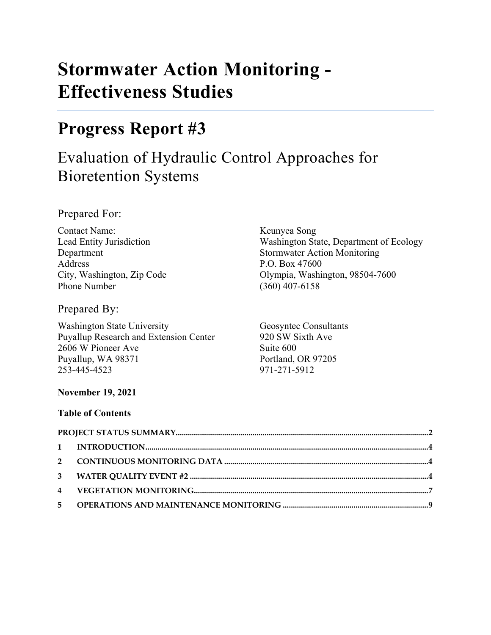# **Stormwater Action Monitoring - Effectiveness Studies**

## **Progress Report #3**

## Evaluation of Hydraulic Control Approaches for Bioretention Systems

Prepared For:

Contact Name: Keunyea Song Address P.O. Box 47600 Phone Number (360) 407-6158

Prepared By:

Washington State University Geosyntec Consultants Puyallup Research and Extension Center 920 SW Sixth Ave 2606 W Pioneer Ave Suite 600 Puyallup, WA 98371 Portland, OR 97205 253-445-4523 971-271-5912

Lead Entity Jurisdiction Washington State, Department of Ecology Department Stormwater Action Monitoring City, Washington, Zip Code Olympia, Washington, 98504-7600

## **November 19, 2021**

#### **Table of Contents**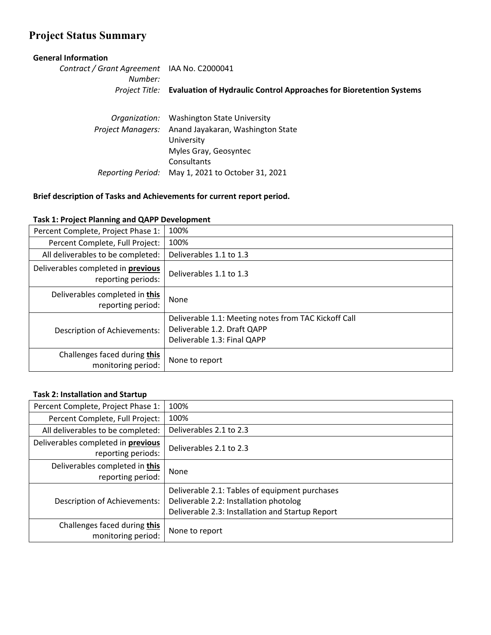## <span id="page-1-0"></span>**Project Status Summary**

#### **General Information**

*Contract / Grant Agreement*  IAA No. C2000041 *Number: Project Title:* **Evaluation of Hydraulic Control Approaches for Bioretention Systems**

|                          | Organization: Washington State University         |
|--------------------------|---------------------------------------------------|
| <b>Project Managers:</b> | Anand Jayakaran, Washington State                 |
|                          | University                                        |
|                          | Myles Gray, Geosyntec                             |
|                          | Consultants                                       |
|                          | Reporting Period: May 1, 2021 to October 31, 2021 |

#### **Brief description of Tasks and Achievements for current report period.**

**Example 12 The Connect of The State of The State Incorport**<br>monitoring period: | None to report

| $1000$ and $10000$ and $10000$ and $10000$ and $10000$   |                                                      |
|----------------------------------------------------------|------------------------------------------------------|
| Percent Complete, Project Phase 1:                       | 100%                                                 |
| Percent Complete, Full Project:                          | 100%                                                 |
| All deliverables to be completed:                        | Deliverables 1.1 to 1.3                              |
| Deliverables completed in previous<br>reporting periods: | Deliverables 1.1 to 1.3                              |
| Deliverables completed in this<br>reporting period:      | None                                                 |
|                                                          | Deliverable 1.1: Meeting notes from TAC Kickoff Call |

Deliverable 1.2. Draft QAPP Deliverable 1.3: Final QAPP

#### **Task 1: Project Planning and QAPP Development**

Description of Achievements:

Challenges faced during **this**

| <b>Task 2: Installation and Startup</b>                  |                                                                                                                                              |  |  |  |  |
|----------------------------------------------------------|----------------------------------------------------------------------------------------------------------------------------------------------|--|--|--|--|
| Percent Complete, Project Phase 1:                       | 100%                                                                                                                                         |  |  |  |  |
| Percent Complete, Full Project:                          | 100%                                                                                                                                         |  |  |  |  |
| All deliverables to be completed:                        | Deliverables 2.1 to 2.3                                                                                                                      |  |  |  |  |
| Deliverables completed in previous<br>reporting periods: | Deliverables 2.1 to 2.3                                                                                                                      |  |  |  |  |
| Deliverables completed in this<br>reporting period:      | None                                                                                                                                         |  |  |  |  |
| <b>Description of Achievements:</b>                      | Deliverable 2.1: Tables of equipment purchases<br>Deliverable 2.2: Installation photolog<br>Deliverable 2.3: Installation and Startup Report |  |  |  |  |
| Challenges faced during this<br>monitoring period:       | None to report                                                                                                                               |  |  |  |  |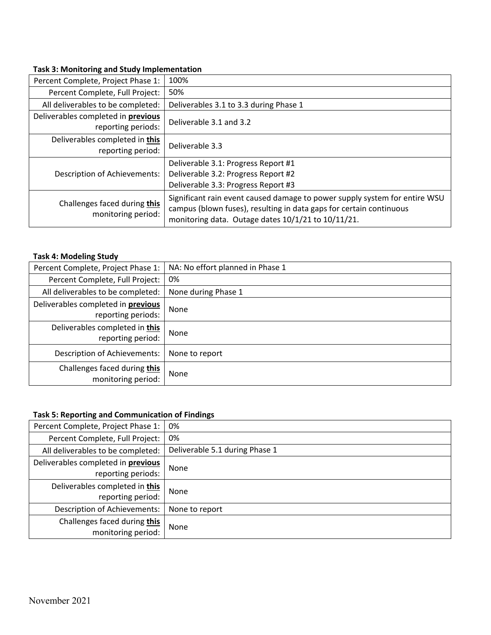#### **Task 3: Monitoring and Study Implementation**

| Percent Complete, Project Phase 1:                 | 100%                                                                                                                                                                                                    |  |  |  |
|----------------------------------------------------|---------------------------------------------------------------------------------------------------------------------------------------------------------------------------------------------------------|--|--|--|
| Percent Complete, Full Project:                    | 50%                                                                                                                                                                                                     |  |  |  |
| All deliverables to be completed:                  | Deliverables 3.1 to 3.3 during Phase 1                                                                                                                                                                  |  |  |  |
| Deliverables completed in previous                 | Deliverable 3.1 and 3.2                                                                                                                                                                                 |  |  |  |
| reporting periods:                                 |                                                                                                                                                                                                         |  |  |  |
| Deliverables completed in this                     | Deliverable 3.3                                                                                                                                                                                         |  |  |  |
| reporting period:                                  |                                                                                                                                                                                                         |  |  |  |
|                                                    | Deliverable 3.1: Progress Report #1                                                                                                                                                                     |  |  |  |
| <b>Description of Achievements:</b>                | Deliverable 3.2: Progress Report #2                                                                                                                                                                     |  |  |  |
|                                                    | Deliverable 3.3: Progress Report #3                                                                                                                                                                     |  |  |  |
| Challenges faced during this<br>monitoring period: | Significant rain event caused damage to power supply system for entire WSU<br>campus (blown fuses), resulting in data gaps for certain continuous<br>monitoring data. Outage dates 10/1/21 to 10/11/21. |  |  |  |

#### **Task 4: Modeling Study**

| Percent Complete, Project Phase 1:  | NA: No effort planned in Phase 1 |
|-------------------------------------|----------------------------------|
| Percent Complete, Full Project:     | 0%                               |
| All deliverables to be completed:   | None during Phase 1              |
| Deliverables completed in previous  | None                             |
| reporting periods:                  |                                  |
| Deliverables completed in this      | None                             |
| reporting period:                   |                                  |
| <b>Description of Achievements:</b> | None to report                   |
| Challenges faced during this        | None                             |
| monitoring period:                  |                                  |

#### **Task 5: Reporting and Communication of Findings**

| Percent Complete, Project Phase 1:        | 0%                             |
|-------------------------------------------|--------------------------------|
| Percent Complete, Full Project:           | 0%                             |
| All deliverables to be completed:         | Deliverable 5.1 during Phase 1 |
| Deliverables completed in <b>previous</b> | None                           |
| reporting periods:                        |                                |
| Deliverables completed in this            | None                           |
| reporting period:                         |                                |
| <b>Description of Achievements:</b>       | None to report                 |
| Challenges faced during this              | None                           |
| monitoring period:                        |                                |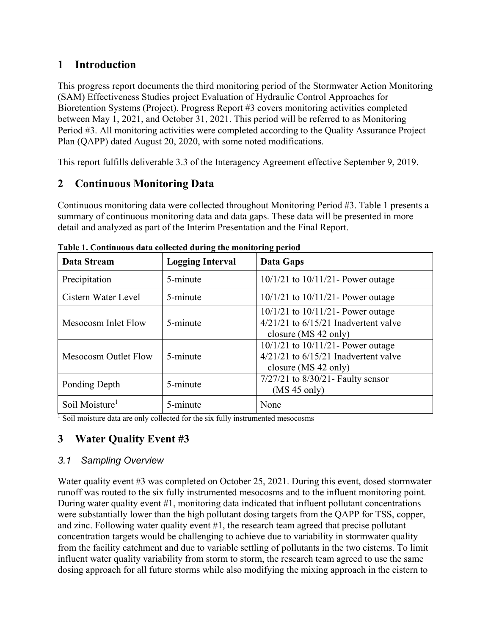## <span id="page-3-0"></span>**1 Introduction**

This progress report documents the third monitoring period of the Stormwater Action Monitoring (SAM) Effectiveness Studies project Evaluation of Hydraulic Control Approaches for Bioretention Systems (Project). Progress Report #3 covers monitoring activities completed between May 1, 2021, and October 31, 2021. This period will be referred to as Monitoring Period #3. All monitoring activities were completed according to the Quality Assurance Project Plan (QAPP) dated August 20, 2020, with some noted modifications.

This report fulfills deliverable 3.3 of the Interagency Agreement effective September 9, 2019.

## <span id="page-3-1"></span>**2 Continuous Monitoring Data**

Continuous monitoring data were collected throughout Monitoring Period #3. [Table 1](#page-3-3) presents a summary of continuous monitoring data and data gaps. These data will be presented in more detail and analyzed as part of the Interim Presentation and the Final Report.

| Data Stream                     | <b>Logging Interval</b> | Data Gaps                                                                                                  |  |  |
|---------------------------------|-------------------------|------------------------------------------------------------------------------------------------------------|--|--|
| Precipitation                   | 5-minute                | $10/1/21$ to $10/11/21$ - Power outage                                                                     |  |  |
| Cistern Water Level<br>5-minute |                         | $10/1/21$ to $10/11/21$ - Power outage                                                                     |  |  |
| Mesocosm Inlet Flow             | 5-minute                | $10/1/21$ to $10/11/21$ - Power outage<br>$4/21/21$ to $6/15/21$ Inadvertent valve<br>closure (MS 42 only) |  |  |
| Mesocosm Outlet Flow            | 5-minute                | $10/1/21$ to $10/11/21$ - Power outage<br>$4/21/21$ to $6/15/21$ Inadvertent valve<br>closure (MS 42 only) |  |  |
| Ponding Depth                   | 5-minute                | $7/27/21$ to $8/30/21$ - Faulty sensor<br>(MS 45 only)                                                     |  |  |
| Soil Moisture <sup>1</sup>      | 5-minute                | None                                                                                                       |  |  |

<span id="page-3-3"></span>**Table 1. Continuous data collected during the monitoring period**

 $\frac{1}{1}$  Soil moisture data are only collected for the six fully instrumented mesocosms

## <span id="page-3-2"></span>**3 Water Quality Event #3**

#### *3.1 Sampling Overview*

Water quality event #3 was completed on October 25, 2021. During this event, dosed stormwater runoff was routed to the six fully instrumented mesocosms and to the influent monitoring point. During water quality event #1, monitoring data indicated that influent pollutant concentrations were substantially lower than the high pollutant dosing targets from the QAPP for TSS, copper, and zinc. Following water quality event #1, the research team agreed that precise pollutant concentration targets would be challenging to achieve due to variability in stormwater quality from the facility catchment and due to variable settling of pollutants in the two cisterns. To limit influent water quality variability from storm to storm, the research team agreed to use the same dosing approach for all future storms while also modifying the mixing approach in the cistern to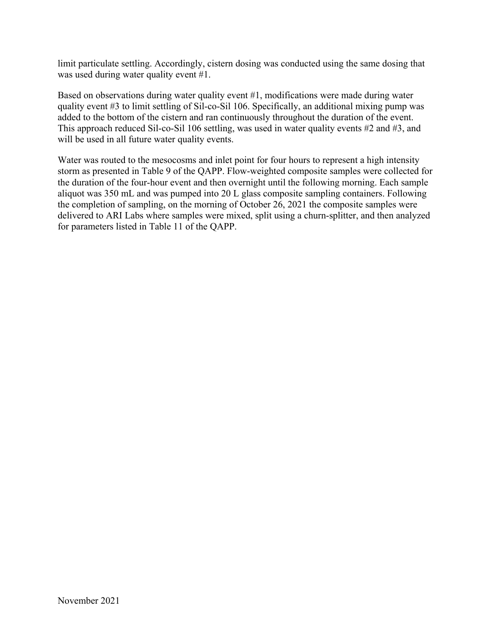limit particulate settling. Accordingly, cistern dosing was conducted using the same dosing that was used during water quality event #1.

Based on observations during water quality event #1, modifications were made during water quality event #3 to limit settling of Sil-co-Sil 106. Specifically, an additional mixing pump was added to the bottom of the cistern and ran continuously throughout the duration of the event. This approach reduced Sil-co-Sil 106 settling, was used in water quality events #2 and #3, and will be used in all future water quality events.

Water was routed to the mesocosms and inlet point for four hours to represent a high intensity storm as presented in Table 9 of the QAPP. Flow-weighted composite samples were collected for the duration of the four-hour event and then overnight until the following morning. Each sample aliquot was 350 mL and was pumped into 20 L glass composite sampling containers. Following the completion of sampling, on the morning of October 26, 2021 the composite samples were delivered to ARI Labs where samples were mixed, split using a churn-splitter, and then analyzed for parameters listed in Table 11 of the QAPP.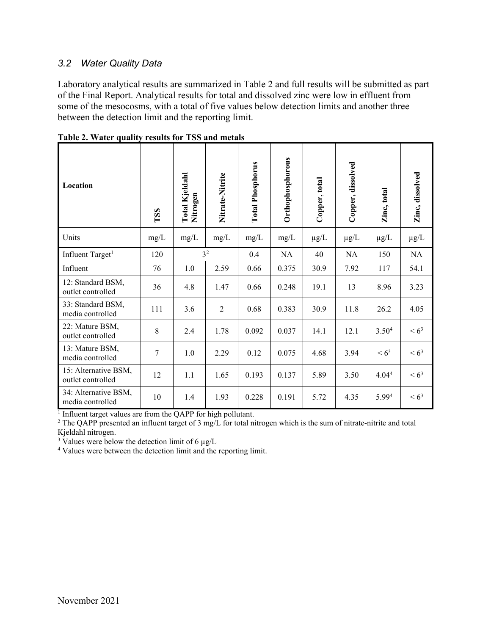#### *3.2 Water Quality Data*

Laboratory analytical results are summarized in [Table 2](#page-5-1) and full results will be submitted as part of the Final Report. Analytical results for total and dissolved zinc were low in effluent from some of the mesocosms, with a total of five values below detection limits and another three between the detection limit and the reporting limit.

| Location                                  | TSS            | Total Kjeldahl<br>Nitrogen | Nitrate-Nitrite | <b>Total Phosphorus</b> | Orthophosphorous | Copper, total | Copper, dissolved | Zinc, total       | Zinc, dissolved |
|-------------------------------------------|----------------|----------------------------|-----------------|-------------------------|------------------|---------------|-------------------|-------------------|-----------------|
| Units                                     | mg/L           | mg/L                       | mg/L            | mg/L                    | mg/L             | $\mu$ g/L     | $\mu$ g/L         | $\mu$ g/L         | $\mu$ g/L       |
| Influent Target <sup>1</sup>              | 120            |                            | 3 <sup>2</sup>  | 0.4                     | NA               | 40            | NA                | 150               | NA              |
| Influent                                  | 76             | 1.0                        | 2.59            | 0.66                    | 0.375            | 30.9          | 7.92              | 117               | 54.1            |
| 12: Standard BSM,<br>outlet controlled    | 36             | 4.8                        | 1.47            | 0.66                    | 0.248            | 19.1          | 13                | 8.96              | 3.23            |
| 33: Standard BSM,<br>media controlled     | 111            | 3.6                        | 2               | 0.68                    | 0.383            | 30.9          | 11.8              | 26.2              | 4.05            |
| 22: Mature BSM,<br>outlet controlled      | 8              | 2.4                        | 1.78            | 0.092                   | 0.037            | 14.1          | 12.1              | 3.50 <sup>4</sup> | $< 6^3$         |
| 13: Mature BSM,<br>media controlled       | $\overline{7}$ | 1.0                        | 2.29            | 0.12                    | 0.075            | 4.68          | 3.94              | $< 6^3$           | $< 6^3$         |
| 15: Alternative BSM,<br>outlet controlled | 12             | 1.1                        | 1.65            | 0.193                   | 0.137            | 5.89          | 3.50              | 4.04 <sup>4</sup> | $< 6^3$         |
| 34: Alternative BSM,<br>media controlled  | 10             | 1.4                        | 1.93            | 0.228                   | 0.191            | 5.72          | 4.35              | 5.994             | $< 6^3$         |

<span id="page-5-1"></span>**Table 2. Water quality results for TSS and metals**

<sup>1</sup> Influent target values are from the QAPP for high pollutant.

<sup>2</sup> The QAPP presented an influent target of 3 mg/L for total nitrogen which is the sum of nitrate-nitrite and total Kjeldahl nitrogen.

<sup>3</sup> Values were below the detection limit of 6  $\mu$ g/L

<span id="page-5-0"></span><sup>4</sup> Values were between the detection limit and the reporting limit.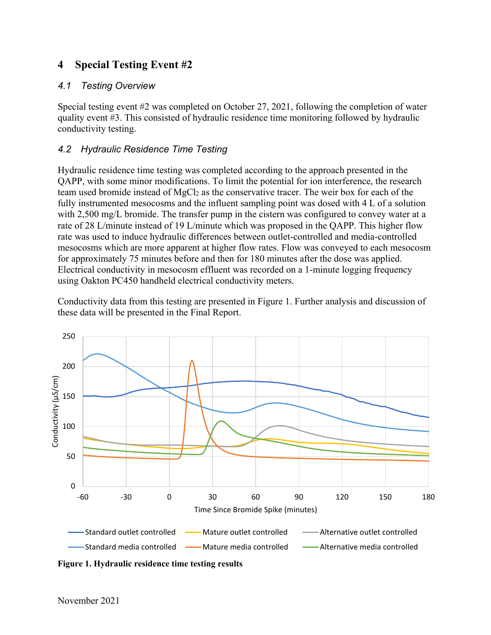## **4 Special Testing Event #2**

#### *4.1 Testing Overview*

Special testing event #2 was completed on October 27, 2021, following the completion of water quality event #3. This consisted of hydraulic residence time monitoring followed by hydraulic conductivity testing.

#### *4.2 Hydraulic Residence Time Testing*

Hydraulic residence time testing was completed according to the approach presented in the QAPP, with some minor modifications. To limit the potential for ion interference, the research team used bromide instead of MgCl2 as the conservative tracer. The weir box for each of the fully instrumented mesocosms and the influent sampling point was dosed with 4 L of a solution with 2,500 mg/L bromide. The transfer pump in the cistern was configured to convey water at a rate of 28 L/minute instead of 19 L/minute which was proposed in the QAPP. This higher flow rate was used to induce hydraulic differences between outlet-controlled and media-controlled mesocosms which are more apparent at higher flow rates. Flow was conveyed to each mesocosm for approximately 75 minutes before and then for 180 minutes after the dose was applied. Electrical conductivity in mesocosm effluent was recorded on a 1-minute logging frequency using Oakton PC450 handheld electrical conductivity meters.

Conductivity data from this testing are presented in Figure 1. Further analysis and discussion of these data will be presented in the Final Report.



**Figure 1. Hydraulic residence time testing results**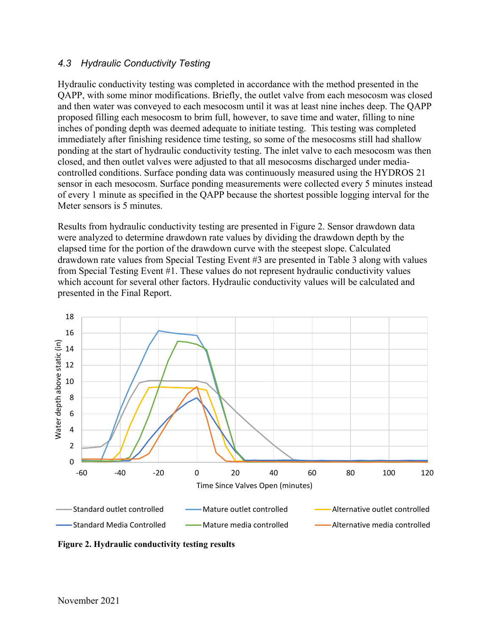#### *4.3 Hydraulic Conductivity Testing*

Hydraulic conductivity testing was completed in accordance with the method presented in the QAPP, with some minor modifications. Briefly, the outlet valve from each mesocosm was closed and then water was conveyed to each mesocosm until it was at least nine inches deep. The QAPP proposed filling each mesocosm to brim full, however, to save time and water, filling to nine inches of ponding depth was deemed adequate to initiate testing. This testing was completed immediately after finishing residence time testing, so some of the mesocosms still had shallow ponding at the start of hydraulic conductivity testing. The inlet valve to each mesocosm was then closed, and then outlet valves were adjusted to that all mesocosms discharged under mediacontrolled conditions. Surface ponding data was continuously measured using the HYDROS 21 sensor in each mesocosm. Surface ponding measurements were collected every 5 minutes instead of every 1 minute as specified in the QAPP because the shortest possible logging interval for the Meter sensors is 5 minutes.

Results from hydraulic conductivity testing are presented in Figure 2. Sensor drawdown data were analyzed to determine drawdown rate values by dividing the drawdown depth by the elapsed time for the portion of the drawdown curve with the steepest slope. Calculated drawdown rate values from Special Testing Event #3 are presented in [Table 3](#page-8-1) along with values from Special Testing Event #1. These values do not represent hydraulic conductivity values which account for several other factors. Hydraulic conductivity values will be calculated and presented in the Final Report.



**Figure 2. Hydraulic conductivity testing results**